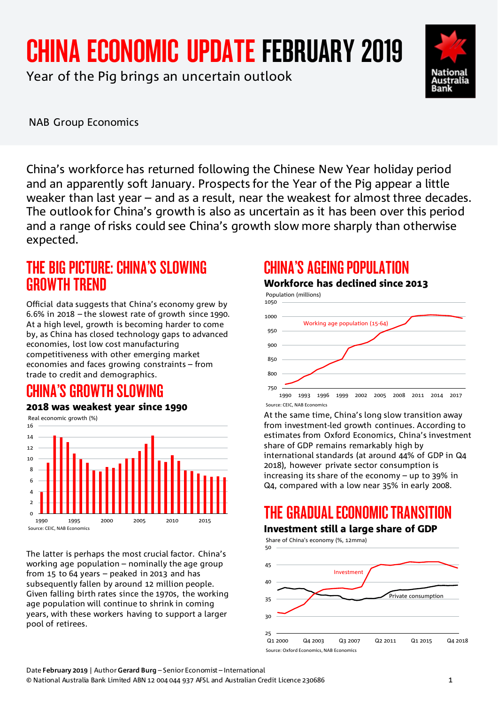# CHINA ECONOMIC UPDATE FEBRUARY 2019

Year of the Pig brings an uncertain outlook



NAB Group Economics

China's workforce has returned following the Chinese New Year holiday period and an apparently soft January. Prospects for the Year of the Pig appear a little weaker than last year – and as a result, near the weakest for almost three decades. The outlook for China's growth is also as uncertain as it has been over this period and a range of risks could see China's growth slow more sharply than otherwise expected.

### THE BIG PICTURE: CHINA'S SLOWING **GROWTH TREND**

Official data suggests that China's economy grew by 6.6% in 2018 – the slowest rate of growth since 1990. At a high level, growth is becoming harder to come by, as China has closed technology gaps to advanced economies, lost low cost manufacturing competitiveness with other emerging market economies and faces growing constraints – from trade to credit and demographics.

# CHINA'S GROWTH SLOWING

#### 2018 was weakest year since 1990

0 2 4 6 8 10  $12$ 14 16 1990 1995 2000 2005 2010 2015 Real economic growth (%) Source: CEIC, NAB Economics

The latter is perhaps the most crucial factor. China's working age population – nominally the age group from 15 to 64 years – peaked in 2013 and has subsequently fallen by around 12 million people. Given falling birth rates since the 1970s, the working age population will continue to shrink in coming years, with these workers having to support a larger pool of retirees.

## CHINA'S AGEING POPULATION



At the same time, China's long slow transition away from investment-led growth continues. According to estimates from Oxford Economics, China's investment share of GDP remains remarkably high by international standards (at around 44% of GDP in Q4 2018), however private sector consumption is increasing its share of the economy – up to 39% in Q4, compared with a low near 35% in early 2008.

# THE GRADUAL ECONOMIC TRAN

#### Investment still a large share of GDP

Share of China's economy (%, 12mma)

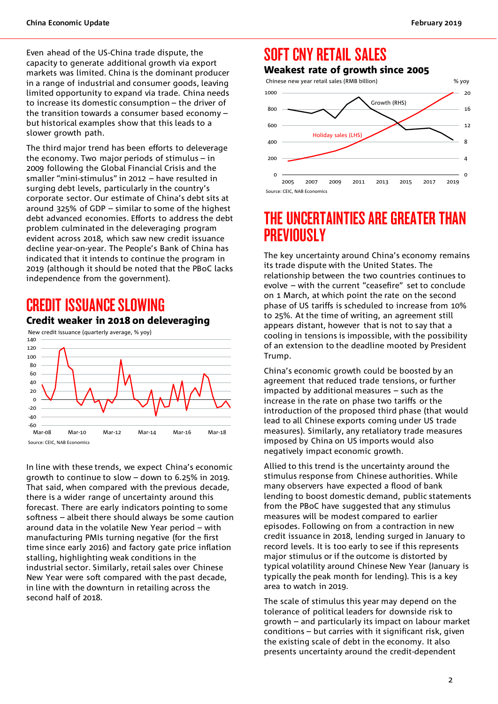16  $20$ 

Even ahead of the US-China trade dispute, the capacity to generate additional growth via export markets was limited. China is the dominant producer in a range of industrial and consumer goods, leaving limited opportunity to expand via trade. China needs to increase its domestic consumption – the driver of the transition towards a consumer based economy – but historical examples show that this leads to a slower growth path.

The third major trend has been efforts to deleverage the economy. Two major periods of stimulus – in 2009 following the Global Financial Crisis and the smaller "mini-stimulus" in 2012 – have resulted in surging debt levels, particularly in the country's corporate sector. Our estimate of China's debt sits at around 325% of GDP – similar to some of the highest debt advanced economies. Efforts to address the debt problem culminated in the deleveraging program evident across 2018, which saw new credit issuance decline year-on-year. The People's Bank of China has indicated that it intends to continue the program in 2019 (although it should be noted that the PBoC lacks independence from the government).

### CREDIT ISSUANCE SLOWING Credit weaker in 2018 on deleveraging



Source: CEIC, NAB Economics

In line with these trends, we expect China's economic growth to continue to slow – down to 6.25% in 2019. That said, when compared with the previous decade, there is a wider range of uncertainty around this forecast. There are early indicators pointing to some softness – albeit there should always be some caution around data in the volatile New Year period – with manufacturing PMIs turning negative (for the first time since early 2016) and factory gate price inflation stalling, highlighting weak conditions in the industrial sector. Similarly, retail sales over Chinese New Year were soft compared with the past decade, in line with the downturn in retailing across the second half of 2018.

### SOFT CNY RETAIL SALES



0  $\Omega$ 2005 2007 2009 2011 2013 2015 2017 2019 Source: CEIC, NAB Economics

### THE UNCERTAINTIES ARE GREATER THAN **PREVIOUSLY**

The key uncertainty around China's economy remains its trade dispute with the United States. The relationship between the two countries continues to evolve – with the current "ceasefire" set to conclude on 1 March, at which point the rate on the second phase of US tariffs is scheduled to increase from 10% to 25%. At the time of writing, an agreement still appears distant, however that is not to say that a cooling in tensions is impossible, with the possibility of an extension to the deadline mooted by President Trump.

China's economic growth could be boosted by an agreement that reduced trade tensions, or further impacted by additional measures – such as the increase in the rate on phase two tariffs or the introduction of the proposed third phase (that would lead to all Chinese exports coming under US trade measures). Similarly, any retaliatory trade measures imposed by China on US imports would also negatively impact economic growth.

Allied to this trend is the uncertainty around the stimulus response from Chinese authorities. While many observers have expected a flood of bank lending to boost domestic demand, public statements from the PBoC have suggested that any stimulus measures will be modest compared to earlier episodes. Following on from a contraction in new credit issuance in 2018, lending surged in January to record levels. It is too early to see if this represents major stimulus or if the outcome is distorted by typical volatility around Chinese New Year (January is typically the peak month for lending). This is a key area to watch in 2019.

The scale of stimulus this year may depend on the tolerance of political leaders for downside risk to growth – and particularly its impact on labour market conditions – but carries with it significant risk, given the existing scale of debt in the economy. It also presents uncertainty around the credit-dependent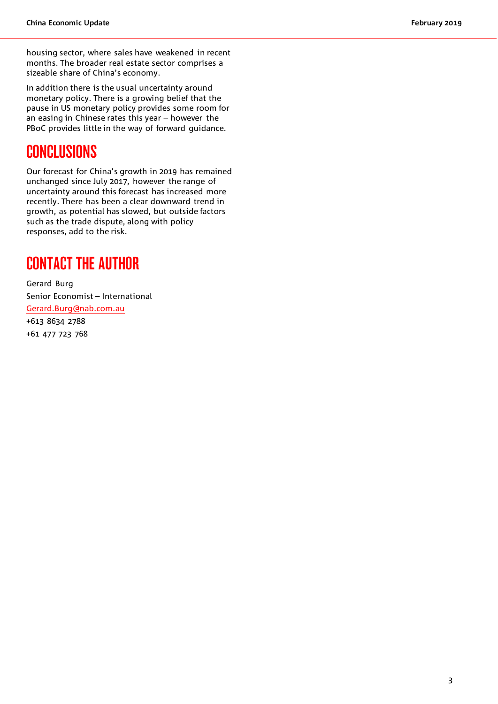housing sector, where sales have weakened in recent months. The broader real estate sector comprises a sizeable share of China's economy.

In addition there is the usual uncertainty around monetary policy. There is a growing belief that the pause in US monetary policy provides some room for an easing in Chinese rates this year – however the PBoC provides little in the way of forward guidance.

### **CONCLUSIONS**

Our forecast for China's growth in 2019 has remained unchanged since July 2017, however the range of uncertainty around this forecast has increased more recently. There has been a clear downward trend in growth, as potential has slowed, but outside factors such as the trade dispute, along with policy responses, add to the risk.

### CONTACT THE AUTHOR

Gerard Burg Senior Economist – International [Gerard.Burg@nab.com.au](mailto:Gerard.Burg@nab.com.au) +613 8634 2788 +61 477 723 768